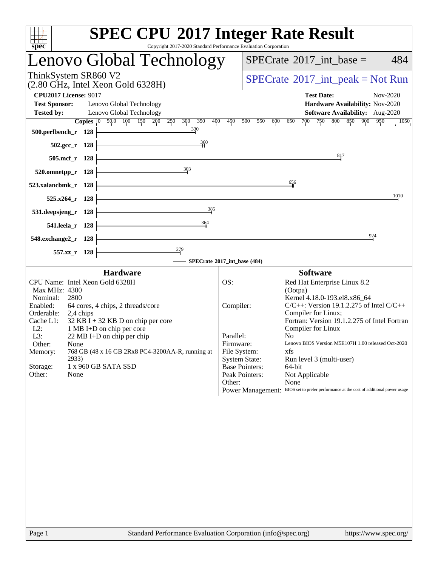| <b>SPEC CPU®2017 Integer Rate Result</b>                                                          |                           |                                                                                                |  |  |  |  |  |  |
|---------------------------------------------------------------------------------------------------|---------------------------|------------------------------------------------------------------------------------------------|--|--|--|--|--|--|
| Copyright 2017-2020 Standard Performance Evaluation Corporation<br>spec <sup>®</sup>              |                           | 484<br>$SPECrate^{\circledast}2017\_int\_base =$                                               |  |  |  |  |  |  |
| Lenovo Global Technology                                                                          |                           |                                                                                                |  |  |  |  |  |  |
| ThinkSystem SR860 V2<br>$(2.80 \text{ GHz}, \text{Intel Xeon Gold } 6328\text{H})$                |                           | $SPECTate^{\circ}2017\_int\_peak = Not Run$                                                    |  |  |  |  |  |  |
| <b>CPU2017 License: 9017</b>                                                                      |                           | <b>Test Date:</b><br>Nov-2020                                                                  |  |  |  |  |  |  |
| <b>Test Sponsor:</b><br>Lenovo Global Technology<br><b>Tested by:</b><br>Lenovo Global Technology |                           | Hardware Availability: Nov-2020<br>Software Availability: Aug-2020                             |  |  |  |  |  |  |
| <b>Copies</b> 0 50.0 100 150 200<br>250<br>300<br>350<br>400                                      | 450                       | 750 800 850 900<br>500<br>550<br>600<br>700<br>950<br>1050<br>650                              |  |  |  |  |  |  |
| 330<br>500.perlbench_r 128                                                                        |                           |                                                                                                |  |  |  |  |  |  |
| $\frac{360}{5}$<br>502.gcc_r 128                                                                  |                           |                                                                                                |  |  |  |  |  |  |
| 505.mcf_r 128                                                                                     |                           | 817                                                                                            |  |  |  |  |  |  |
| 303<br>520.omnetpp_r 128                                                                          |                           |                                                                                                |  |  |  |  |  |  |
| 523.xalancbmk_r 128                                                                               |                           | 656                                                                                            |  |  |  |  |  |  |
|                                                                                                   |                           | 1010                                                                                           |  |  |  |  |  |  |
| 525.x264_r 128<br>385                                                                             |                           |                                                                                                |  |  |  |  |  |  |
| 531.deepsjeng_r 128                                                                               |                           |                                                                                                |  |  |  |  |  |  |
| $\frac{364}{5}$<br>541.leela r 128                                                                |                           |                                                                                                |  |  |  |  |  |  |
| 548.exchange2_r 128                                                                               |                           | 924                                                                                            |  |  |  |  |  |  |
| 557.xz_r 128                                                                                      |                           |                                                                                                |  |  |  |  |  |  |
| SPECrate®2017_int_base (484)                                                                      |                           |                                                                                                |  |  |  |  |  |  |
| <b>Hardware</b>                                                                                   |                           | <b>Software</b>                                                                                |  |  |  |  |  |  |
| CPU Name: Intel Xeon Gold 6328H<br>Max MHz: 4300                                                  | OS:                       | Red Hat Enterprise Linux 8.2<br>(Ootpa)                                                        |  |  |  |  |  |  |
| Nominal:<br>2800                                                                                  |                           | Kernel 4.18.0-193.el8.x86_64                                                                   |  |  |  |  |  |  |
| Enabled:<br>64 cores, 4 chips, 2 threads/core<br>Orderable:                                       | Compiler:                 | $C/C++$ : Version 19.1.2.275 of Intel $C/C++$<br>Compiler for Linux;                           |  |  |  |  |  |  |
| 2,4 chips<br>Cache L1:<br>$32$ KB I + 32 KB D on chip per core                                    |                           | Fortran: Version 19.1.2.275 of Intel Fortran                                                   |  |  |  |  |  |  |
| $L2$ :<br>1 MB I+D on chip per core                                                               |                           | Compiler for Linux                                                                             |  |  |  |  |  |  |
| L3:<br>22 MB I+D on chip per chip                                                                 | Parallel:                 | N <sub>0</sub>                                                                                 |  |  |  |  |  |  |
| Other:<br>None<br>768 GB (48 x 16 GB 2Rx8 PC4-3200AA-R, running at<br>Memory:                     | Firmware:<br>File System: | Lenovo BIOS Version M5E107H 1.00 released Oct-2020<br>xfs                                      |  |  |  |  |  |  |
| 2933)                                                                                             |                           | <b>System State:</b><br>Run level 3 (multi-user)                                               |  |  |  |  |  |  |
| Storage:<br>1 x 960 GB SATA SSD                                                                   |                           | <b>Base Pointers:</b><br>64-bit                                                                |  |  |  |  |  |  |
| Other:<br>None                                                                                    |                           | Peak Pointers:<br>Not Applicable                                                               |  |  |  |  |  |  |
|                                                                                                   | Other:                    | None<br>Power Management: BIOS set to prefer performance at the cost of additional power usage |  |  |  |  |  |  |
|                                                                                                   |                           |                                                                                                |  |  |  |  |  |  |
|                                                                                                   |                           |                                                                                                |  |  |  |  |  |  |
|                                                                                                   |                           |                                                                                                |  |  |  |  |  |  |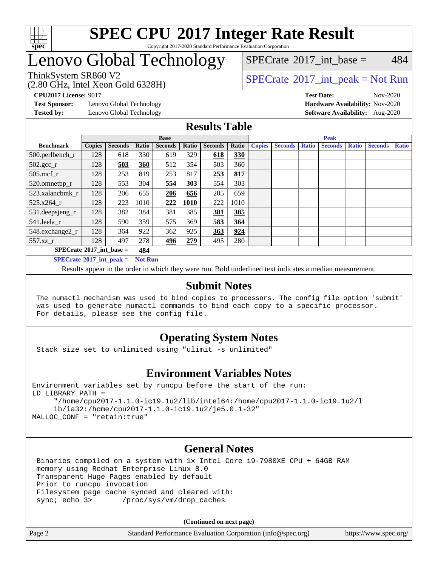

#### **[SPEC CPU](http://www.spec.org/auto/cpu2017/Docs/result-fields.html#SPECCPU2017IntegerRateResult)[2017 Integer Rate Result](http://www.spec.org/auto/cpu2017/Docs/result-fields.html#SPECCPU2017IntegerRateResult)** Copyright 2017-2020 Standard Performance Evaluation Corporation

### Lenovo Global Technology

[SPECrate](http://www.spec.org/auto/cpu2017/Docs/result-fields.html#SPECrate2017intbase)<sup>®</sup>2017 int base =  $484$ 

(2.80 GHz, Intel Xeon Gold 6328H)

ThinkSystem SR860 V2<br>  $\begin{array}{c} \text{SPECTI}_{\text{S}} \text{SFR} = \text{Not Run} \\ \text{SPECTI}_{\text{S}} \text{SFR} = \text{Not Run} \end{array}$ 

**[Test Sponsor:](http://www.spec.org/auto/cpu2017/Docs/result-fields.html#TestSponsor)** Lenovo Global Technology **[Hardware Availability:](http://www.spec.org/auto/cpu2017/Docs/result-fields.html#HardwareAvailability)** Nov-2020

**[CPU2017 License:](http://www.spec.org/auto/cpu2017/Docs/result-fields.html#CPU2017License)** 9017 **[Test Date:](http://www.spec.org/auto/cpu2017/Docs/result-fields.html#TestDate)** Nov-2020 **[Tested by:](http://www.spec.org/auto/cpu2017/Docs/result-fields.html#Testedby)** Lenovo Global Technology **[Software Availability:](http://www.spec.org/auto/cpu2017/Docs/result-fields.html#SoftwareAvailability)** Aug-2020

### **[Results Table](http://www.spec.org/auto/cpu2017/Docs/result-fields.html#ResultsTable)**

|                                     | <b>Base</b>   |                |                |                |       |                |       |               | <b>Peak</b>    |              |                |              |                |              |  |  |
|-------------------------------------|---------------|----------------|----------------|----------------|-------|----------------|-------|---------------|----------------|--------------|----------------|--------------|----------------|--------------|--|--|
| <b>Benchmark</b>                    | <b>Copies</b> | <b>Seconds</b> | Ratio          | <b>Seconds</b> | Ratio | <b>Seconds</b> | Ratio | <b>Copies</b> | <b>Seconds</b> | <b>Ratio</b> | <b>Seconds</b> | <b>Ratio</b> | <b>Seconds</b> | <b>Ratio</b> |  |  |
| 500.perlbench_r                     | 128           | 618            | 330            | 619            | 329   | 618            | 330   |               |                |              |                |              |                |              |  |  |
| $502.\text{gcc\_r}$                 | 128           | 503            | 360            | 512            | 354   | 503            | 360   |               |                |              |                |              |                |              |  |  |
| $505$ .mcf r                        | 128           | 253            | 819            | 253            | 817   | 253            | 817   |               |                |              |                |              |                |              |  |  |
| 520.omnetpp_r                       | 128           | 553            | 304            | 554            | 303   | 554            | 303   |               |                |              |                |              |                |              |  |  |
| 523.xalancbmk_r                     | 128           | 206            | 655            | 206            | 656   | 205            | 659   |               |                |              |                |              |                |              |  |  |
| 525.x264 r                          | 128           | 223            | 1010           | 222            | 1010  | 222            | 1010  |               |                |              |                |              |                |              |  |  |
| 531.deepsjeng_r                     | 128           | 382            | 384            | 381            | 385   | 381            | 385   |               |                |              |                |              |                |              |  |  |
| 541.leela r                         | 128           | 590            | 359            | 575            | 369   | 583            | 364   |               |                |              |                |              |                |              |  |  |
| 548.exchange2_r                     | 128           | 364            | 922            | 362            | 925   | 363            | 924   |               |                |              |                |              |                |              |  |  |
| 557.xz                              | 128           | 497            | 278            | 496            | 279   | 495            | 280   |               |                |              |                |              |                |              |  |  |
| $SPECrate^{\circ}2017$ int base =   |               | 484            |                |                |       |                |       |               |                |              |                |              |                |              |  |  |
| $SPECrate^{\circ}2017\_int\_peak =$ |               |                | <b>Not Run</b> |                |       |                |       |               |                |              |                |              |                |              |  |  |

Results appear in the [order in which they were run](http://www.spec.org/auto/cpu2017/Docs/result-fields.html#RunOrder). Bold underlined text [indicates a median measurement](http://www.spec.org/auto/cpu2017/Docs/result-fields.html#Median).

### **[Submit Notes](http://www.spec.org/auto/cpu2017/Docs/result-fields.html#SubmitNotes)**

 The numactl mechanism was used to bind copies to processors. The config file option 'submit' was used to generate numactl commands to bind each copy to a specific processor. For details, please see the config file.

### **[Operating System Notes](http://www.spec.org/auto/cpu2017/Docs/result-fields.html#OperatingSystemNotes)**

Stack size set to unlimited using "ulimit -s unlimited"

### **[Environment Variables Notes](http://www.spec.org/auto/cpu2017/Docs/result-fields.html#EnvironmentVariablesNotes)**

```
Environment variables set by runcpu before the start of the run:
LD_LIBRARY_PATH =
      "/home/cpu2017-1.1.0-ic19.1u2/lib/intel64:/home/cpu2017-1.1.0-ic19.1u2/l
      ib/ia32:/home/cpu2017-1.1.0-ic19.1u2/je5.0.1-32"
MALLOC_CONF = "retain:true"
```
### **[General Notes](http://www.spec.org/auto/cpu2017/Docs/result-fields.html#GeneralNotes)**

 Binaries compiled on a system with 1x Intel Core i9-7980XE CPU + 64GB RAM memory using Redhat Enterprise Linux 8.0 Transparent Huge Pages enabled by default Prior to runcpu invocation Filesystem page cache synced and cleared with: sync; echo 3> /proc/sys/vm/drop\_caches

**(Continued on next page)**

| Page 2 | Standard Performance Evaluation Corporation (info@spec.org) | https://www.spec.org/ |
|--------|-------------------------------------------------------------|-----------------------|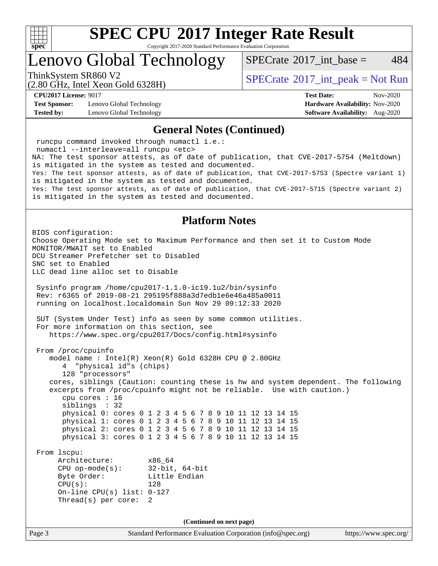

Copyright 2017-2020 Standard Performance Evaluation Corporation

Lenovo Global Technology

[SPECrate](http://www.spec.org/auto/cpu2017/Docs/result-fields.html#SPECrate2017intbase)<sup>®</sup>2017 int base = 484

(2.80 GHz, Intel Xeon Gold 6328H)

ThinkSystem SR860 V2<br>  $\begin{array}{c} \text{SPECTI}_{\text{S}} \text{SFR} = \text{Not Run} \\ \text{SPECTI}_{\text{S}} \text{SFR} = \text{Not Run} \end{array}$ 

**[Test Sponsor:](http://www.spec.org/auto/cpu2017/Docs/result-fields.html#TestSponsor)** Lenovo Global Technology **[Hardware Availability:](http://www.spec.org/auto/cpu2017/Docs/result-fields.html#HardwareAvailability)** Nov-2020 **[Tested by:](http://www.spec.org/auto/cpu2017/Docs/result-fields.html#Testedby)** Lenovo Global Technology **[Software Availability:](http://www.spec.org/auto/cpu2017/Docs/result-fields.html#SoftwareAvailability)** Aug-2020

**[CPU2017 License:](http://www.spec.org/auto/cpu2017/Docs/result-fields.html#CPU2017License)** 9017 **[Test Date:](http://www.spec.org/auto/cpu2017/Docs/result-fields.html#TestDate)** Nov-2020

#### **[General Notes \(Continued\)](http://www.spec.org/auto/cpu2017/Docs/result-fields.html#GeneralNotes)**

Page 3 Standard Performance Evaluation Corporation [\(info@spec.org\)](mailto:info@spec.org) <https://www.spec.org/> runcpu command invoked through numactl i.e.: numactl --interleave=all runcpu <etc> NA: The test sponsor attests, as of date of publication, that CVE-2017-5754 (Meltdown) is mitigated in the system as tested and documented. Yes: The test sponsor attests, as of date of publication, that CVE-2017-5753 (Spectre variant 1) is mitigated in the system as tested and documented. Yes: The test sponsor attests, as of date of publication, that CVE-2017-5715 (Spectre variant 2) is mitigated in the system as tested and documented. **[Platform Notes](http://www.spec.org/auto/cpu2017/Docs/result-fields.html#PlatformNotes)** BIOS configuration: Choose Operating Mode set to Maximum Performance and then set it to Custom Mode MONITOR/MWAIT set to Enabled DCU Streamer Prefetcher set to Disabled SNC set to Enabled LLC dead line alloc set to Disable Sysinfo program /home/cpu2017-1.1.0-ic19.1u2/bin/sysinfo Rev: r6365 of 2019-08-21 295195f888a3d7edb1e6e46a485a0011 running on localhost.localdomain Sun Nov 29 09:12:33 2020 SUT (System Under Test) info as seen by some common utilities. For more information on this section, see <https://www.spec.org/cpu2017/Docs/config.html#sysinfo> From /proc/cpuinfo model name : Intel(R) Xeon(R) Gold 6328H CPU @ 2.80GHz 4 "physical id"s (chips) 128 "processors" cores, siblings (Caution: counting these is hw and system dependent. The following excerpts from /proc/cpuinfo might not be reliable. Use with caution.) cpu cores : 16 siblings : 32 physical 0: cores 0 1 2 3 4 5 6 7 8 9 10 11 12 13 14 15 physical 1: cores 0 1 2 3 4 5 6 7 8 9 10 11 12 13 14 15 physical 2: cores 0 1 2 3 4 5 6 7 8 9 10 11 12 13 14 15 physical 3: cores 0 1 2 3 4 5 6 7 8 9 10 11 12 13 14 15 From lscpu: Architecture: x86\_64 CPU op-mode(s): 32-bit, 64-bit Byte Order: Little Endian  $CPU(s):$  128 On-line CPU(s) list: 0-127 Thread(s) per core: 2 **(Continued on next page)**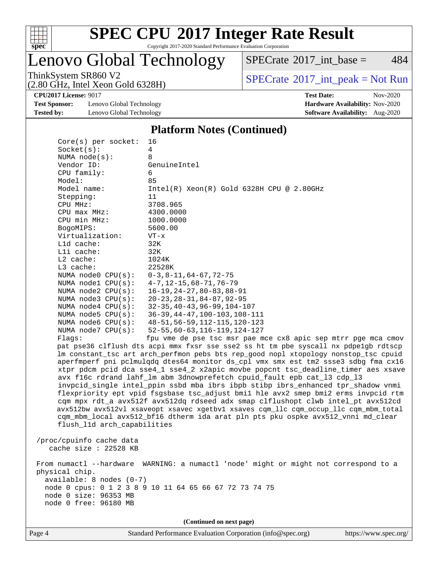

Copyright 2017-2020 Standard Performance Evaluation Corporation

### Lenovo Global Technology

 $SPECTate$ <sup>®</sup>[2017\\_int\\_base =](http://www.spec.org/auto/cpu2017/Docs/result-fields.html#SPECrate2017intbase) 484

(2.80 GHz, Intel Xeon Gold 6328H)

ThinkSystem SR860 V2<br>  $(2.80 \text{ GHz, Intel Yoon Gold } 6328 \text{ H})$  [SPECrate](http://www.spec.org/auto/cpu2017/Docs/result-fields.html#SPECrate2017intpeak)®[2017\\_int\\_peak = N](http://www.spec.org/auto/cpu2017/Docs/result-fields.html#SPECrate2017intpeak)ot Run

**[Test Sponsor:](http://www.spec.org/auto/cpu2017/Docs/result-fields.html#TestSponsor)** Lenovo Global Technology **[Hardware Availability:](http://www.spec.org/auto/cpu2017/Docs/result-fields.html#HardwareAvailability)** Nov-2020 **[Tested by:](http://www.spec.org/auto/cpu2017/Docs/result-fields.html#Testedby)** Lenovo Global Technology **[Software Availability:](http://www.spec.org/auto/cpu2017/Docs/result-fields.html#SoftwareAvailability)** Aug-2020

**[CPU2017 License:](http://www.spec.org/auto/cpu2017/Docs/result-fields.html#CPU2017License)** 9017 **[Test Date:](http://www.spec.org/auto/cpu2017/Docs/result-fields.html#TestDate)** Nov-2020

#### **[Platform Notes \(Continued\)](http://www.spec.org/auto/cpu2017/Docs/result-fields.html#PlatformNotes)**

| $Core(s)$ per socket:       | 16                                                                                   |
|-----------------------------|--------------------------------------------------------------------------------------|
| Socket(s):                  | 4                                                                                    |
| NUMA $node(s):$             | 8                                                                                    |
| Vendor ID:                  | GenuineIntel                                                                         |
| CPU family:                 | 6                                                                                    |
| Model:                      | 85                                                                                   |
| Model name:                 | $Intel(R) Xeon(R) Gold 6328H CPU @ 2.80GHz$                                          |
| Stepping:                   | 11                                                                                   |
| CPU MHz:                    | 3708.965                                                                             |
| CPU max MHz:                | 4300.0000                                                                            |
| CPU min MHz:                | 1000.0000                                                                            |
| BogoMIPS:                   | 5600.00                                                                              |
| Virtualization:             | $VT - x$                                                                             |
| L1d cache:                  | 32K                                                                                  |
| Lli cache:                  | 32K                                                                                  |
| $L2$ cache:                 | 1024K                                                                                |
| L3 cache:                   | 22528K                                                                               |
| NUMA node0 CPU(s):          | $0-3, 8-11, 64-67, 72-75$                                                            |
| NUMA nodel CPU(s):          | $4 - 7$ , 12-15, 68-71, 76-79                                                        |
| NUMA node2 CPU(s):          | $16 - 19, 24 - 27, 80 - 83, 88 - 91$                                                 |
| NUMA node3 CPU(s):          | $20 - 23, 28 - 31, 84 - 87, 92 - 95$                                                 |
| NUMA $node4$ $CPU(s):$      | $32 - 35, 40 - 43, 96 - 99, 104 - 107$                                               |
| NUMA $node5$ CPU $(s)$ :    | 36-39, 44-47, 100-103, 108-111                                                       |
| NUMA node6 $CPU(s):$        | 48-51, 56-59, 112-115, 120-123                                                       |
| NUMA node7 CPU(s):          | $52 - 55, 60 - 63, 116 - 119, 124 - 127$                                             |
| Flaqs:                      | fpu vme de pse tsc msr pae mce cx8 apic sep mtrr pge mca cmov                        |
|                             | pat pse36 clflush dts acpi mmx fxsr sse sse2 ss ht tm pbe syscall nx pdpelgb rdtscp  |
|                             | lm constant_tsc art arch_perfmon pebs bts rep_good nopl xtopology nonstop_tsc cpuid  |
|                             | aperfmperf pni pclmulqdq dtes64 monitor ds_cpl vmx smx est tm2 ssse3 sdbg fma cx16   |
|                             | xtpr pdcm pcid dca sse4_1 sse4_2 x2apic movbe popcnt tsc_deadline_timer aes xsave    |
|                             | avx f16c rdrand lahf_lm abm 3dnowprefetch cpuid_fault epb cat_13 cdp_13              |
|                             | invpcid_single intel_ppin ssbd mba ibrs ibpb stibp ibrs_enhanced tpr_shadow vnmi     |
|                             | flexpriority ept vpid fsgsbase tsc_adjust bmil hle avx2 smep bmi2 erms invpcid rtm   |
|                             | cqm mpx rdt_a avx512f avx512dq rdseed adx smap clflushopt clwb intel_pt avx512cd     |
|                             | avx512bw avx512vl xsaveopt xsavec xgetbvl xsaves cqm_llc cqm_occup_llc cqm_mbm_total |
|                             | cqm_mbm_local avx512_bf16 dtherm ida arat pln pts pku ospke avx512_vnni md_clear     |
| flush_l1d arch_capabilities |                                                                                      |
|                             |                                                                                      |
| /proc/cpuinfo cache data    |                                                                                      |
| cache size $: 22528$ KB     |                                                                                      |
|                             |                                                                                      |
| From numactl --hardware     | WARNING: a numactl 'node' might or might not correspond to a                         |
| physical chip.              |                                                                                      |
| $available: 8 nodes (0-7)$  |                                                                                      |
|                             | node 0 cpus: 0 1 2 3 8 9 10 11 64 65 66 67 72 73 74 75                               |
| node 0 size: 96353 MB       |                                                                                      |
| node 0 free: 96180 MB       |                                                                                      |
|                             |                                                                                      |
|                             | (Continued on next page)                                                             |
|                             |                                                                                      |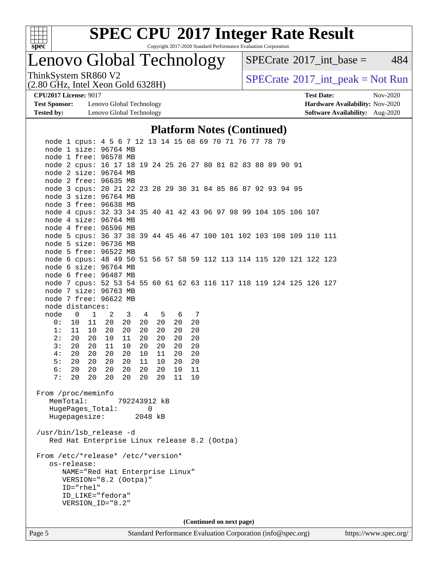

Copyright 2017-2020 Standard Performance Evaluation Corporation

Lenovo Global Technology

 $SPECTate@2017_int\_base = 484$ 

(2.80 GHz, Intel Xeon Gold 6328H)

ThinkSystem SR860 V2<br>  $(2.80 \text{ GHz, Intel Yoon Gold } 6328 \text{ H})$  [SPECrate](http://www.spec.org/auto/cpu2017/Docs/result-fields.html#SPECrate2017intpeak)®[2017\\_int\\_peak = N](http://www.spec.org/auto/cpu2017/Docs/result-fields.html#SPECrate2017intpeak)ot Run

**[Test Sponsor:](http://www.spec.org/auto/cpu2017/Docs/result-fields.html#TestSponsor)** Lenovo Global Technology **[Hardware Availability:](http://www.spec.org/auto/cpu2017/Docs/result-fields.html#HardwareAvailability)** Nov-2020 **[Tested by:](http://www.spec.org/auto/cpu2017/Docs/result-fields.html#Testedby)** Lenovo Global Technology **[Software Availability:](http://www.spec.org/auto/cpu2017/Docs/result-fields.html#SoftwareAvailability)** Aug-2020

**[CPU2017 License:](http://www.spec.org/auto/cpu2017/Docs/result-fields.html#CPU2017License)** 9017 **[Test Date:](http://www.spec.org/auto/cpu2017/Docs/result-fields.html#TestDate)** Nov-2020

#### **[Platform Notes \(Continued\)](http://www.spec.org/auto/cpu2017/Docs/result-fields.html#PlatformNotes)**

| Page 5                             |                 |           |                                                                                               |              |    |             |       |    |  | Standard Performance Evaluation Corporation (info@spec.org) |  |  |  |  | https://www.spec.org/ |  |
|------------------------------------|-----------------|-----------|-----------------------------------------------------------------------------------------------|--------------|----|-------------|-------|----|--|-------------------------------------------------------------|--|--|--|--|-----------------------|--|
|                                    |                 |           |                                                                                               |              |    |             |       |    |  | (Continued on next page)                                    |  |  |  |  |                       |  |
|                                    |                 |           | VERSION_ID="8.2"                                                                              |              |    |             |       |    |  |                                                             |  |  |  |  |                       |  |
|                                    |                 |           | ID_LIKE="fedora"                                                                              |              |    |             |       |    |  |                                                             |  |  |  |  |                       |  |
|                                    |                 | ID="rhel" |                                                                                               |              |    |             |       |    |  |                                                             |  |  |  |  |                       |  |
|                                    |                 |           | VERSION="8.2 (Ootpa)"                                                                         |              |    |             |       |    |  |                                                             |  |  |  |  |                       |  |
|                                    |                 |           | NAME="Red Hat Enterprise Linux"                                                               |              |    |             |       |    |  |                                                             |  |  |  |  |                       |  |
| From /etc/*release* /etc/*version* | os-release:     |           |                                                                                               |              |    |             |       |    |  |                                                             |  |  |  |  |                       |  |
|                                    |                 |           |                                                                                               |              |    |             |       |    |  |                                                             |  |  |  |  |                       |  |
| /usr/bin/lsb_release -d            |                 |           | Red Hat Enterprise Linux release 8.2 (Ootpa)                                                  |              |    |             |       |    |  |                                                             |  |  |  |  |                       |  |
|                                    |                 |           |                                                                                               |              |    |             |       |    |  |                                                             |  |  |  |  |                       |  |
|                                    |                 |           | Hugepagesize: 2048 kB                                                                         |              |    |             |       |    |  |                                                             |  |  |  |  |                       |  |
|                                    |                 |           | HugePages_Total:                                                                              |              |    | $\mathbf 0$ |       |    |  |                                                             |  |  |  |  |                       |  |
| From /proc/meminfo                 | MemTotal:       |           |                                                                                               | 792243912 kB |    |             |       |    |  |                                                             |  |  |  |  |                       |  |
|                                    |                 |           |                                                                                               |              |    |             |       |    |  |                                                             |  |  |  |  |                       |  |
| 7:                                 | 20              |           | 20 20                                                                                         | 20           | 20 | 20          | 11    | 10 |  |                                                             |  |  |  |  |                       |  |
| 6:                                 | 20              |           | 20 20                                                                                         | 20           | 20 | 20          | 10    | 11 |  |                                                             |  |  |  |  |                       |  |
| 5:                                 | 20              |           | 20 20                                                                                         | 20           | 11 | 10          | 20    | 20 |  |                                                             |  |  |  |  |                       |  |
| 4:                                 | 20 <sub>o</sub> | 20        | 20                                                                                            | 20           | 10 | 11          | 20    | 20 |  |                                                             |  |  |  |  |                       |  |
| 3:                                 | 20 <sub>o</sub> |           | 20 11                                                                                         | 10           | 20 | 20          | 20    | 20 |  |                                                             |  |  |  |  |                       |  |
| 2:                                 | 20              |           | 20 10                                                                                         | 11           | 20 | 20          | 20    | 20 |  |                                                             |  |  |  |  |                       |  |
| 1:                                 |                 | 11 10 20  |                                                                                               | 20           | 20 | 20          | 20    | 20 |  |                                                             |  |  |  |  |                       |  |
| 0:                                 |                 |           | 10 11 20                                                                                      | 20           | 20 | 20          | 20    | 20 |  |                                                             |  |  |  |  |                       |  |
| node distances:<br>node            |                 |           | $0 \quad 1 \quad 2$                                                                           | $3 \t 4$     |    |             | 5 6 7 |    |  |                                                             |  |  |  |  |                       |  |
|                                    |                 |           | node 7 free: 96622 MB                                                                         |              |    |             |       |    |  |                                                             |  |  |  |  |                       |  |
|                                    |                 |           |                                                                                               |              |    |             |       |    |  |                                                             |  |  |  |  |                       |  |
|                                    |                 |           | node 7 size: 96763 MB                                                                         |              |    |             |       |    |  |                                                             |  |  |  |  |                       |  |
|                                    |                 |           | node 7 cpus: 52 53 54 55 60 61 62 63 116 117 118 119 124 125 126 127                          |              |    |             |       |    |  |                                                             |  |  |  |  |                       |  |
|                                    |                 |           | node 6 free: 96487 MB                                                                         |              |    |             |       |    |  |                                                             |  |  |  |  |                       |  |
|                                    |                 |           | node 6 cpus: 48 49 50 51 56 57 58 59 112 113 114 115 120 121 122 123<br>node 6 size: 96764 MB |              |    |             |       |    |  |                                                             |  |  |  |  |                       |  |
|                                    |                 |           | node 5 free: 96522 MB                                                                         |              |    |             |       |    |  |                                                             |  |  |  |  |                       |  |
|                                    |                 |           | node 5 size: 96736 MB                                                                         |              |    |             |       |    |  |                                                             |  |  |  |  |                       |  |
|                                    |                 |           | node 5 cpus: 36 37 38 39 44 45 46 47 100 101 102 103 108 109 110 111                          |              |    |             |       |    |  |                                                             |  |  |  |  |                       |  |
|                                    |                 |           | node 4 free: 96596 MB                                                                         |              |    |             |       |    |  |                                                             |  |  |  |  |                       |  |
|                                    |                 |           | node 4 size: 96764 MB                                                                         |              |    |             |       |    |  |                                                             |  |  |  |  |                       |  |
|                                    |                 |           | node 4 cpus: 32 33 34 35 40 41 42 43 96 97 98 99 104 105 106 107                              |              |    |             |       |    |  |                                                             |  |  |  |  |                       |  |
|                                    |                 |           | node 3 free: 96638 MB                                                                         |              |    |             |       |    |  |                                                             |  |  |  |  |                       |  |
|                                    |                 |           | node 3 size: 96764 MB                                                                         |              |    |             |       |    |  |                                                             |  |  |  |  |                       |  |
|                                    |                 |           | node 3 cpus: 20 21 22 23 28 29 30 31 84 85 86 87 92 93 94 95                                  |              |    |             |       |    |  |                                                             |  |  |  |  |                       |  |
|                                    |                 |           | node 2 free: 96635 MB                                                                         |              |    |             |       |    |  |                                                             |  |  |  |  |                       |  |
|                                    |                 |           | node 2 size: 96764 MB                                                                         |              |    |             |       |    |  |                                                             |  |  |  |  |                       |  |
|                                    |                 |           | node 2 cpus: 16 17 18 19 24 25 26 27 80 81 82 83 88 89 90 91                                  |              |    |             |       |    |  |                                                             |  |  |  |  |                       |  |
|                                    |                 |           | node 1 free: 96578 MB                                                                         |              |    |             |       |    |  |                                                             |  |  |  |  |                       |  |
|                                    |                 |           | node 1 size: 96764 MB                                                                         |              |    |             |       |    |  |                                                             |  |  |  |  |                       |  |
|                                    |                 |           | node 1 cpus: 4 5 6 7 12 13 14 15 68 69 70 71 76 77 78 79                                      |              |    |             |       |    |  |                                                             |  |  |  |  |                       |  |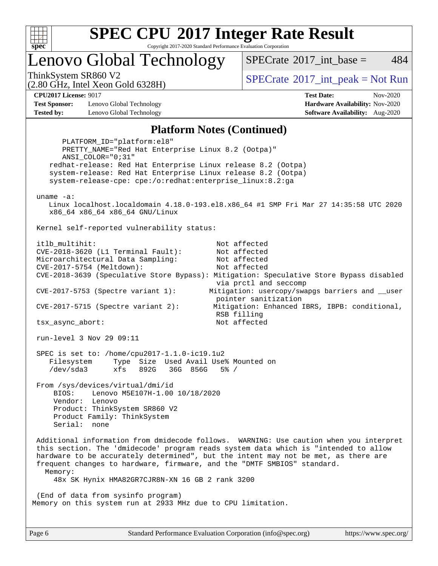

Copyright 2017-2020 Standard Performance Evaluation Corporation

Lenovo Global Technology

[SPECrate](http://www.spec.org/auto/cpu2017/Docs/result-fields.html#SPECrate2017intbase)<sup>®</sup>2017 int base = 484

(2.80 GHz, Intel Xeon Gold 6328H)

ThinkSystem SR860 V2<br>  $\begin{array}{c} \text{SPECTI}_{\text{S}} \text{SFR} = \text{Not Run} \\ \text{SPECTI}_{\text{S}} \text{SFR} = \text{Not Run} \end{array}$ 

**[Test Sponsor:](http://www.spec.org/auto/cpu2017/Docs/result-fields.html#TestSponsor)** Lenovo Global Technology **[Hardware Availability:](http://www.spec.org/auto/cpu2017/Docs/result-fields.html#HardwareAvailability)** Nov-2020 **[Tested by:](http://www.spec.org/auto/cpu2017/Docs/result-fields.html#Testedby)** Lenovo Global Technology **[Software Availability:](http://www.spec.org/auto/cpu2017/Docs/result-fields.html#SoftwareAvailability)** Aug-2020

**[CPU2017 License:](http://www.spec.org/auto/cpu2017/Docs/result-fields.html#CPU2017License)** 9017 **[Test Date:](http://www.spec.org/auto/cpu2017/Docs/result-fields.html#TestDate)** Nov-2020

#### **[Platform Notes \(Continued\)](http://www.spec.org/auto/cpu2017/Docs/result-fields.html#PlatformNotes)**

 PLATFORM\_ID="platform:el8" PRETTY\_NAME="Red Hat Enterprise Linux 8.2 (Ootpa)" ANSI\_COLOR="0;31" redhat-release: Red Hat Enterprise Linux release 8.2 (Ootpa) system-release: Red Hat Enterprise Linux release 8.2 (Ootpa) system-release-cpe: cpe:/o:redhat:enterprise\_linux:8.2:ga uname -a: Linux localhost.localdomain 4.18.0-193.el8.x86\_64 #1 SMP Fri Mar 27 14:35:58 UTC 2020 x86\_64 x86\_64 x86\_64 GNU/Linux Kernel self-reported vulnerability status: itlb\_multihit: Not affected CVE-2018-3620 (L1 Terminal Fault): Not affected Microarchitectural Data Sampling: Not affected CVE-2017-5754 (Meltdown): Not affected CVE-2018-3639 (Speculative Store Bypass): Mitigation: Speculative Store Bypass disabled via prctl and seccomp CVE-2017-5753 (Spectre variant 1): Mitigation: usercopy/swapgs barriers and \_\_user pointer sanitization CVE-2017-5715 (Spectre variant 2): Mitigation: Enhanced IBRS, IBPB: conditional, RSB filling tsx\_async\_abort: Not affected run-level 3 Nov 29 09:11 SPEC is set to: /home/cpu2017-1.1.0-ic19.1u2 Filesystem Type Size Used Avail Use% Mounted on /dev/sda3 xfs 892G 36G 856G 5% / From /sys/devices/virtual/dmi/id BIOS: Lenovo M5E107H-1.00 10/18/2020 Vendor: Lenovo Product: ThinkSystem SR860 V2 Product Family: ThinkSystem Serial: none Additional information from dmidecode follows. WARNING: Use caution when you interpret this section. The 'dmidecode' program reads system data which is "intended to allow hardware to be accurately determined", but the intent may not be met, as there are frequent changes to hardware, firmware, and the "DMTF SMBIOS" standard. Memory: 48x SK Hynix HMA82GR7CJR8N-XN 16 GB 2 rank 3200 (End of data from sysinfo program) Memory on this system run at 2933 MHz due to CPU limitation.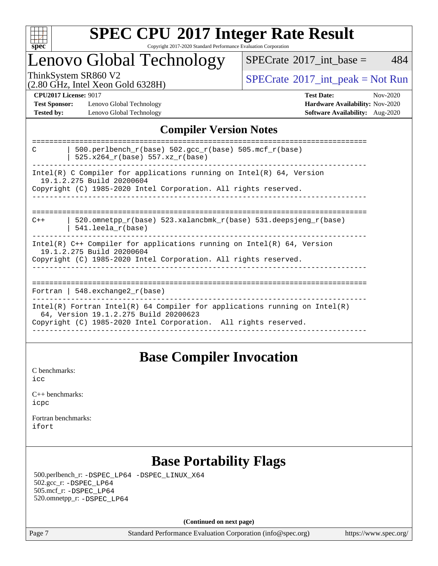

### **[SPEC CPU](http://www.spec.org/auto/cpu2017/Docs/result-fields.html#SPECCPU2017IntegerRateResult)[2017 Integer Rate Result](http://www.spec.org/auto/cpu2017/Docs/result-fields.html#SPECCPU2017IntegerRateResult)** Copyright 2017-2020 Standard Performance Evaluation Corporation

### Lenovo Global Technology

 $SPECTate$ <sup>®</sup>[2017\\_int\\_base =](http://www.spec.org/auto/cpu2017/Docs/result-fields.html#SPECrate2017intbase) 484

(2.80 GHz, Intel Xeon Gold 6328H)

ThinkSystem SR860 V2<br>  $\begin{array}{c}\n\text{SPECrate} \textcirc 2017\_int\_peak = Not Run \\
\text{SPECrate} \textcirc 2017\_int\_peak = Not Run\n\end{array}$  $\begin{array}{c}\n\text{SPECrate} \textcirc 2017\_int\_peak = Not Run \\
\text{SPECrate} \textcirc 2017\_int\_peak = Not Run\n\end{array}$  $\begin{array}{c}\n\text{SPECrate} \textcirc 2017\_int\_peak = Not Run \\
\text{SPECrate} \textcirc 2017\_int\_peak = Not Run\n\end{array}$ 

**[Test Sponsor:](http://www.spec.org/auto/cpu2017/Docs/result-fields.html#TestSponsor)** Lenovo Global Technology **[Hardware Availability:](http://www.spec.org/auto/cpu2017/Docs/result-fields.html#HardwareAvailability)** Nov-2020 **[Tested by:](http://www.spec.org/auto/cpu2017/Docs/result-fields.html#Testedby)** Lenovo Global Technology **[Software Availability:](http://www.spec.org/auto/cpu2017/Docs/result-fields.html#SoftwareAvailability)** Aug-2020

**[CPU2017 License:](http://www.spec.org/auto/cpu2017/Docs/result-fields.html#CPU2017License)** 9017 **[Test Date:](http://www.spec.org/auto/cpu2017/Docs/result-fields.html#TestDate)** Nov-2020

### **[Compiler Version Notes](http://www.spec.org/auto/cpu2017/Docs/result-fields.html#CompilerVersionNotes)**

| 500.perlbench_r(base) 502.gcc_r(base) 505.mcf_r(base)<br>C<br>$525.x264_r(base) 557.xz_r(base)$                                                                                          |
|------------------------------------------------------------------------------------------------------------------------------------------------------------------------------------------|
| Intel(R) C Compiler for applications running on Intel(R) $64$ , Version<br>19.1.2.275 Build 20200604<br>Copyright (C) 1985-2020 Intel Corporation. All rights reserved.                  |
| 520.omnetpp $r(base)$ 523.xalancbmk $r(base)$ 531.deepsjeng $r(base)$<br>$C++$<br>$541.$ leela $r(base)$                                                                                 |
| Intel(R) $C++$ Compiler for applications running on Intel(R) 64, Version<br>19.1.2.275 Build 20200604<br>Copyright (C) 1985-2020 Intel Corporation. All rights reserved.                 |
| Fortran   548.exchange2 $r(base)$                                                                                                                                                        |
| $Intel(R)$ Fortran Intel(R) 64 Compiler for applications running on Intel(R)<br>64, Version 19.1.2.275 Build 20200623<br>Copyright (C) 1985-2020 Intel Corporation. All rights reserved. |

### **[Base Compiler Invocation](http://www.spec.org/auto/cpu2017/Docs/result-fields.html#BaseCompilerInvocation)**

[C benchmarks](http://www.spec.org/auto/cpu2017/Docs/result-fields.html#Cbenchmarks): [icc](http://www.spec.org/cpu2017/results/res2020q4/cpu2017-20201207-24543.flags.html#user_CCbase_intel_icc_66fc1ee009f7361af1fbd72ca7dcefbb700085f36577c54f309893dd4ec40d12360134090235512931783d35fd58c0460139e722d5067c5574d8eaf2b3e37e92)

| $C_{++}$ benchmarks: |  |
|----------------------|--|
| icpc                 |  |

[Fortran benchmarks](http://www.spec.org/auto/cpu2017/Docs/result-fields.html#Fortranbenchmarks): [ifort](http://www.spec.org/cpu2017/results/res2020q4/cpu2017-20201207-24543.flags.html#user_FCbase_intel_ifort_8111460550e3ca792625aed983ce982f94888b8b503583aa7ba2b8303487b4d8a21a13e7191a45c5fd58ff318f48f9492884d4413fa793fd88dd292cad7027ca)

### **[Base Portability Flags](http://www.spec.org/auto/cpu2017/Docs/result-fields.html#BasePortabilityFlags)**

 500.perlbench\_r: [-DSPEC\\_LP64](http://www.spec.org/cpu2017/results/res2020q4/cpu2017-20201207-24543.flags.html#b500.perlbench_r_basePORTABILITY_DSPEC_LP64) [-DSPEC\\_LINUX\\_X64](http://www.spec.org/cpu2017/results/res2020q4/cpu2017-20201207-24543.flags.html#b500.perlbench_r_baseCPORTABILITY_DSPEC_LINUX_X64) 502.gcc\_r: [-DSPEC\\_LP64](http://www.spec.org/cpu2017/results/res2020q4/cpu2017-20201207-24543.flags.html#suite_basePORTABILITY502_gcc_r_DSPEC_LP64) 505.mcf\_r: [-DSPEC\\_LP64](http://www.spec.org/cpu2017/results/res2020q4/cpu2017-20201207-24543.flags.html#suite_basePORTABILITY505_mcf_r_DSPEC_LP64) 520.omnetpp\_r: [-DSPEC\\_LP64](http://www.spec.org/cpu2017/results/res2020q4/cpu2017-20201207-24543.flags.html#suite_basePORTABILITY520_omnetpp_r_DSPEC_LP64)

**(Continued on next page)**

Page 7 Standard Performance Evaluation Corporation [\(info@spec.org\)](mailto:info@spec.org) <https://www.spec.org/>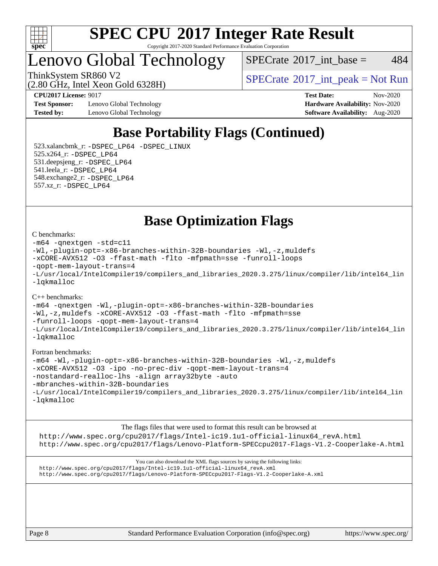

#### **[SPEC CPU](http://www.spec.org/auto/cpu2017/Docs/result-fields.html#SPECCPU2017IntegerRateResult)[2017 Integer Rate Result](http://www.spec.org/auto/cpu2017/Docs/result-fields.html#SPECCPU2017IntegerRateResult)** Copyright 2017-2020 Standard Performance Evaluation Corporation

Lenovo Global Technology

 $SPECTate$ <sup>®</sup>[2017\\_int\\_base =](http://www.spec.org/auto/cpu2017/Docs/result-fields.html#SPECrate2017intbase) 484

(2.80 GHz, Intel Xeon Gold 6328H)

ThinkSystem SR860 V2<br>  $\begin{array}{c} \text{SPECTI}_{\text{S}} \text{SFR} = \text{Not Run} \\ \text{SPECTI}_{\text{S}} \text{SFR} = \text{Not Run} \end{array}$ 

**[Test Sponsor:](http://www.spec.org/auto/cpu2017/Docs/result-fields.html#TestSponsor)** Lenovo Global Technology **[Hardware Availability:](http://www.spec.org/auto/cpu2017/Docs/result-fields.html#HardwareAvailability)** Nov-2020 **[Tested by:](http://www.spec.org/auto/cpu2017/Docs/result-fields.html#Testedby)** Lenovo Global Technology **[Software Availability:](http://www.spec.org/auto/cpu2017/Docs/result-fields.html#SoftwareAvailability)** Aug-2020

**[CPU2017 License:](http://www.spec.org/auto/cpu2017/Docs/result-fields.html#CPU2017License)** 9017 **[Test Date:](http://www.spec.org/auto/cpu2017/Docs/result-fields.html#TestDate)** Nov-2020

### **[Base Portability Flags \(Continued\)](http://www.spec.org/auto/cpu2017/Docs/result-fields.html#BasePortabilityFlags)**

 523.xalancbmk\_r: [-DSPEC\\_LP64](http://www.spec.org/cpu2017/results/res2020q4/cpu2017-20201207-24543.flags.html#suite_basePORTABILITY523_xalancbmk_r_DSPEC_LP64) [-DSPEC\\_LINUX](http://www.spec.org/cpu2017/results/res2020q4/cpu2017-20201207-24543.flags.html#b523.xalancbmk_r_baseCXXPORTABILITY_DSPEC_LINUX) 525.x264\_r: [-DSPEC\\_LP64](http://www.spec.org/cpu2017/results/res2020q4/cpu2017-20201207-24543.flags.html#suite_basePORTABILITY525_x264_r_DSPEC_LP64) 531.deepsjeng\_r: [-DSPEC\\_LP64](http://www.spec.org/cpu2017/results/res2020q4/cpu2017-20201207-24543.flags.html#suite_basePORTABILITY531_deepsjeng_r_DSPEC_LP64) 541.leela\_r: [-DSPEC\\_LP64](http://www.spec.org/cpu2017/results/res2020q4/cpu2017-20201207-24543.flags.html#suite_basePORTABILITY541_leela_r_DSPEC_LP64) 548.exchange2\_r: [-DSPEC\\_LP64](http://www.spec.org/cpu2017/results/res2020q4/cpu2017-20201207-24543.flags.html#suite_basePORTABILITY548_exchange2_r_DSPEC_LP64) 557.xz\_r: [-DSPEC\\_LP64](http://www.spec.org/cpu2017/results/res2020q4/cpu2017-20201207-24543.flags.html#suite_basePORTABILITY557_xz_r_DSPEC_LP64)

**[Base Optimization Flags](http://www.spec.org/auto/cpu2017/Docs/result-fields.html#BaseOptimizationFlags)**

#### [C benchmarks](http://www.spec.org/auto/cpu2017/Docs/result-fields.html#Cbenchmarks):

```
-m64 -qnextgen -std=c11
-Wl,-plugin-opt=-x86-branches-within-32B-boundaries -Wl,-z,muldefs
-xCORE-AVX512 -O3 -ffast-math -flto -mfpmath=sse -funroll-loops
-qopt-mem-layout-trans=4
-L/usr/local/IntelCompiler19/compilers_and_libraries_2020.3.275/linux/compiler/lib/intel64_lin
-lqkmalloc
```
#### [C++ benchmarks](http://www.spec.org/auto/cpu2017/Docs/result-fields.html#CXXbenchmarks):

[-m64](http://www.spec.org/cpu2017/results/res2020q4/cpu2017-20201207-24543.flags.html#user_CXXbase_m64-icc) [-qnextgen](http://www.spec.org/cpu2017/results/res2020q4/cpu2017-20201207-24543.flags.html#user_CXXbase_f-qnextgen) [-Wl,-plugin-opt=-x86-branches-within-32B-boundaries](http://www.spec.org/cpu2017/results/res2020q4/cpu2017-20201207-24543.flags.html#user_CXXbase_f-x86-branches-within-32B-boundaries_0098b4e4317ae60947b7b728078a624952a08ac37a3c797dfb4ffeb399e0c61a9dd0f2f44ce917e9361fb9076ccb15e7824594512dd315205382d84209e912f3) [-Wl,-z,muldefs](http://www.spec.org/cpu2017/results/res2020q4/cpu2017-20201207-24543.flags.html#user_CXXbase_link_force_multiple1_b4cbdb97b34bdee9ceefcfe54f4c8ea74255f0b02a4b23e853cdb0e18eb4525ac79b5a88067c842dd0ee6996c24547a27a4b99331201badda8798ef8a743f577) [-xCORE-AVX512](http://www.spec.org/cpu2017/results/res2020q4/cpu2017-20201207-24543.flags.html#user_CXXbase_f-xCORE-AVX512) [-O3](http://www.spec.org/cpu2017/results/res2020q4/cpu2017-20201207-24543.flags.html#user_CXXbase_f-O3) [-ffast-math](http://www.spec.org/cpu2017/results/res2020q4/cpu2017-20201207-24543.flags.html#user_CXXbase_f-ffast-math) [-flto](http://www.spec.org/cpu2017/results/res2020q4/cpu2017-20201207-24543.flags.html#user_CXXbase_f-flto) [-mfpmath=sse](http://www.spec.org/cpu2017/results/res2020q4/cpu2017-20201207-24543.flags.html#user_CXXbase_f-mfpmath_70eb8fac26bde974f8ab713bc9086c5621c0b8d2f6c86f38af0bd7062540daf19db5f3a066d8c6684be05d84c9b6322eb3b5be6619d967835195b93d6c02afa1) [-funroll-loops](http://www.spec.org/cpu2017/results/res2020q4/cpu2017-20201207-24543.flags.html#user_CXXbase_f-funroll-loops) [-qopt-mem-layout-trans=4](http://www.spec.org/cpu2017/results/res2020q4/cpu2017-20201207-24543.flags.html#user_CXXbase_f-qopt-mem-layout-trans_fa39e755916c150a61361b7846f310bcdf6f04e385ef281cadf3647acec3f0ae266d1a1d22d972a7087a248fd4e6ca390a3634700869573d231a252c784941a8) [-L/usr/local/IntelCompiler19/compilers\\_and\\_libraries\\_2020.3.275/linux/compiler/lib/intel64\\_lin](http://www.spec.org/cpu2017/results/res2020q4/cpu2017-20201207-24543.flags.html#user_CXXbase_linkpath_6eb3b1b8be403820338b5b82e7a1c217a861a8962ac718a6253be1483b50620487664a39a847caf560d84a6b8bab7cca33d9f414525a12ede1e9473db34a3d08) [-lqkmalloc](http://www.spec.org/cpu2017/results/res2020q4/cpu2017-20201207-24543.flags.html#user_CXXbase_qkmalloc_link_lib_79a818439969f771c6bc311cfd333c00fc099dad35c030f5aab9dda831713d2015205805422f83de8875488a2991c0a156aaa600e1f9138f8fc37004abc96dc5)

#### [Fortran benchmarks:](http://www.spec.org/auto/cpu2017/Docs/result-fields.html#Fortranbenchmarks)

```
-m64 -Wl,-plugin-opt=-x86-branches-within-32B-boundaries -Wl,-z,muldefs
-xCORE-AVX512 -O3 -ipo -no-prec-div -qopt-mem-layout-trans=4
-nostandard-realloc-lhs -align array32byte -auto
-mbranches-within-32B-boundaries
-L/usr/local/IntelCompiler19/compilers_and_libraries_2020.3.275/linux/compiler/lib/intel64_lin
-lqkmalloc
```
[The flags files that were used to format this result can be browsed at](tmsearch) [http://www.spec.org/cpu2017/flags/Intel-ic19.1u1-official-linux64\\_revA.html](http://www.spec.org/cpu2017/flags/Intel-ic19.1u1-official-linux64_revA.html) <http://www.spec.org/cpu2017/flags/Lenovo-Platform-SPECcpu2017-Flags-V1.2-Cooperlake-A.html>

[You can also download the XML flags sources by saving the following links:](tmsearch) [http://www.spec.org/cpu2017/flags/Intel-ic19.1u1-official-linux64\\_revA.xml](http://www.spec.org/cpu2017/flags/Intel-ic19.1u1-official-linux64_revA.xml) <http://www.spec.org/cpu2017/flags/Lenovo-Platform-SPECcpu2017-Flags-V1.2-Cooperlake-A.xml>